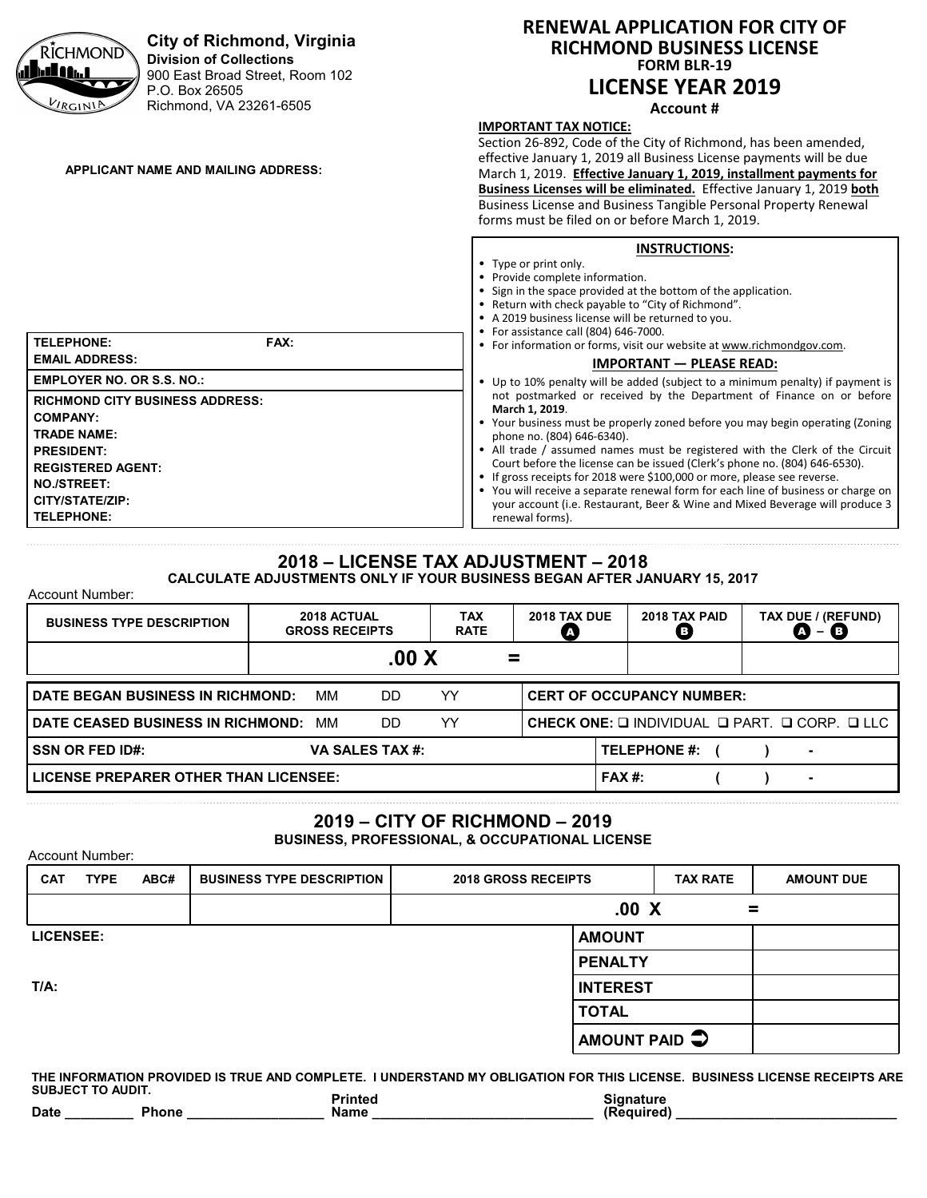

### **2018 – LICENSE TAX ADJUSTMENT – 2018 CALCULATE ADJUSTMENTS ONLY IF YOUR BUSINESS BEGAN AFTER JANUARY 15, 2017**

Account Number:

Account Number:

| <b>BUSINESS TYPE DESCRIPTION</b>                                                               |  | 2018 ACTUAL<br><b>GROSS RECEIPTS</b> |                 | TAX<br><b>RATE</b> | <b>2018 TAX DUE</b> | 2018 TAX PAID<br>B) |  | TAX DUE / (REFUND)<br>в                                                       |
|------------------------------------------------------------------------------------------------|--|--------------------------------------|-----------------|--------------------|---------------------|---------------------|--|-------------------------------------------------------------------------------|
|                                                                                                |  |                                      | $.00\ X$        |                    | =                   |                     |  |                                                                               |
| YY<br><b>DATE BEGAN BUSINESS IN RICHMOND:</b><br>MМ<br><b>CERT OF OCCUPANCY NUMBER:</b><br>DD. |  |                                      |                 |                    |                     |                     |  |                                                                               |
| <b>I DATE CEASED BUSINESS IN RICHMOND:</b>                                                     |  | ΜМ                                   | DD.             | YY                 |                     |                     |  | CHECK ONE: $\square$ INDIVIDUAL $\square$ PART. $\square$ CORP. $\square$ LLC |
| <b>SSN OR FED ID#:</b>                                                                         |  |                                      | VA SALES TAX #: |                    |                     | <b>TELEPHONE #:</b> |  | ۰                                                                             |
| LICENSE PREPARER OTHER THAN LICENSEE:                                                          |  |                                      |                 |                    |                     | $FAX#$ :            |  | $\blacksquare$                                                                |

# **2019 – CITY OF RICHMOND – 2019**

**BUSINESS, PROFESSIONAL, & OCCUPATIONAL LICENSE**

| <b>CAT</b>       | <b>TYPE</b> | ABC# | <b>BUSINESS TYPE DESCRIPTION</b> | <b>2018 GROSS RECEIPTS</b> |                         | <b>TAX RATE</b> | <b>AMOUNT DUE</b> |
|------------------|-------------|------|----------------------------------|----------------------------|-------------------------|-----------------|-------------------|
|                  |             |      |                                  | .00 X<br>=                 |                         |                 |                   |
| <b>LICENSEE:</b> |             |      |                                  |                            | <b>AMOUNT</b>           |                 |                   |
|                  |             |      |                                  |                            | <b>PENALTY</b>          |                 |                   |
| $T/A$ :          |             |      |                                  |                            | <b>INTEREST</b>         |                 |                   |
|                  |             |      |                                  |                            | <b>TOTAL</b>            |                 |                   |
|                  |             |      |                                  |                            | AMOUNT PAID $\clubsuit$ |                 |                   |

**THE INFORMATION PROVIDED IS TRUE AND COMPLETE. I UNDERSTAND MY OBLIGATION FOR THIS LICENSE. BUSINESS LICENSE RECEIPTS ARE SUBJECT TO AUDIT.** Printed **Signature**<br> **Name** (Required) Date **Date Phone**